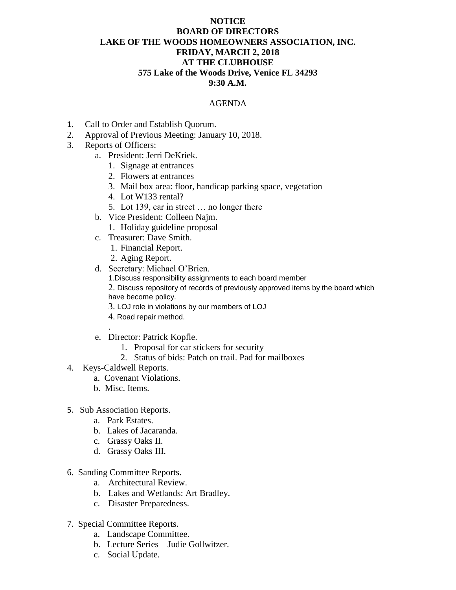## **NOTICE BOARD OF DIRECTORS LAKE OF THE WOODS HOMEOWNERS ASSOCIATION, INC. FRIDAY, MARCH 2, 2018 AT THE CLUBHOUSE 575 Lake of the Woods Drive, Venice FL 34293 9:30 A.M.**

## AGENDA

- 1. Call to Order and Establish Quorum.
- 2. Approval of Previous Meeting: January 10, 2018.
- 3. Reports of Officers:
	- a. President: Jerri DeKriek.
		- 1. Signage at entrances
		- 2. Flowers at entrances
		- 3. Mail box area: floor, handicap parking space, vegetation
		- 4. Lot W133 rental?
		- 5. Lot 139, car in street … no longer there
	- b. Vice President: Colleen Najm.
		- 1. Holiday guideline proposal
	- c. Treasurer: Dave Smith.
		- 1. Financial Report.
		- 2. Aging Report.
	- d. Secretary: Michael O'Brien.
		- 1.Discuss responsibility assignments to each board member
		- 2. Discuss repository of records of previously approved items by the board which have become policy.
		- 3. LOJ role in violations by our members of LOJ
		- 4. Road repair method.
	- e. Director: Patrick Kopfle.
		- 1. Proposal for car stickers for security
		- 2. Status of bids: Patch on trail. Pad for mailboxes
- 4. Keys-Caldwell Reports.

.

- a. Covenant Violations.
- b. Misc. Items.
- 5. Sub Association Reports.
	- a. Park Estates.
	- b. Lakes of Jacaranda.
	- c. Grassy Oaks II.
	- d. Grassy Oaks III.
- 6. Sanding Committee Reports.
	- a. Architectural Review.
	- b. Lakes and Wetlands: Art Bradley.
	- c. Disaster Preparedness.
- 7. Special Committee Reports.
	- a. Landscape Committee.
	- b. Lecture Series Judie Gollwitzer.
	- c. Social Update.